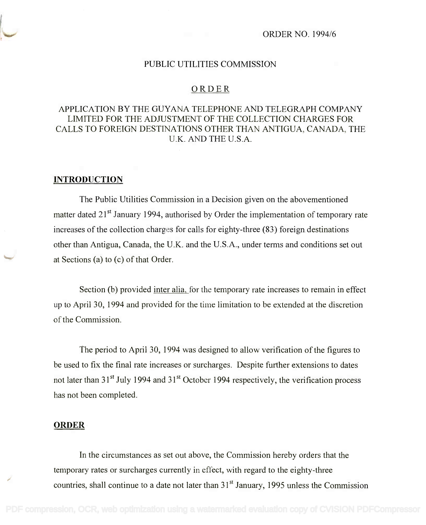## PUBLIC UTILITIES COMMISSION

## ORDER

# APPLICATION BY THE GUYANA TELEPHONE AND TELEGRAPH COMPANY APPLICATION BY THE GUYANA TELEPHONE AND TELEGRAPH COMPANY LIMITED FOR THE ADJUSTMENT OF THE COLLECTION CHARGES FOR LIMITED FOR THE ADJUSTMENT OF THE COLLECTION CHARGES FOR CALLS TO FOREIGN DESTINATIONS OTHER THAN ANTIGUA, CANADA, THE CALLS TO FOREIGN DESTINATIONS OTHER THAN ANTIGUA, CANADA, THE U.K. AND THE U.S.A. U.K. AND THE U.S.A.

### **INTRODUCTION**

The Public Utilities Commission in a Decision given on the abovementioned The Public Utilities Commission in a Decision given on the abovementioned matter dated 21<sup>st</sup> January 1994, authorised by Order the implementation of temporary rate increases of the collection charges for calls for eighty-three (83) foreign destinations increases of the collection charges for calls for eighty-three (83) foreign destinations other than Antigua, Canada, the U.K. and the U.S.A., under terms and conditions set out at Sections (a) to (c) of that Order. at Sections (a) to (c) of that Order.

Section (b) provided inter alia, for the temporary rate increases to remain in effect up to April 30, 1994 and provided for the time limitation to be extended at the discretion up to April 30, 1994 and provided for the time limitation to be extended at the discretion of the Commission. of the Commission.

The period to April 30, 1994 was designed to allow verification of the figures to The period to April 30, 1994 was designed to allow verification of the figures to be used to fix the final rate increases or surcharges. Despite further extensions to dates be used to fix the final rate increases or surcharges. Despite further extensions to dates not later than 31<sup>st</sup> July 1994 and 31<sup>st</sup> October 1994 respectively, the verification process has not been completed. has not been completed.

## **ORDER**

In the circumstances as set out above, the Commission hereby orders that the In the circumstances as set out above, the Commission hereby orders that the temporary rates or surcharges currently in effect, with regard to the eighty-three temporary rates or surcharges currently in effect, with regard to the eighty-three countries, shall continue to a date not later than 31<sup>st</sup> January, 1995 unless the Commission